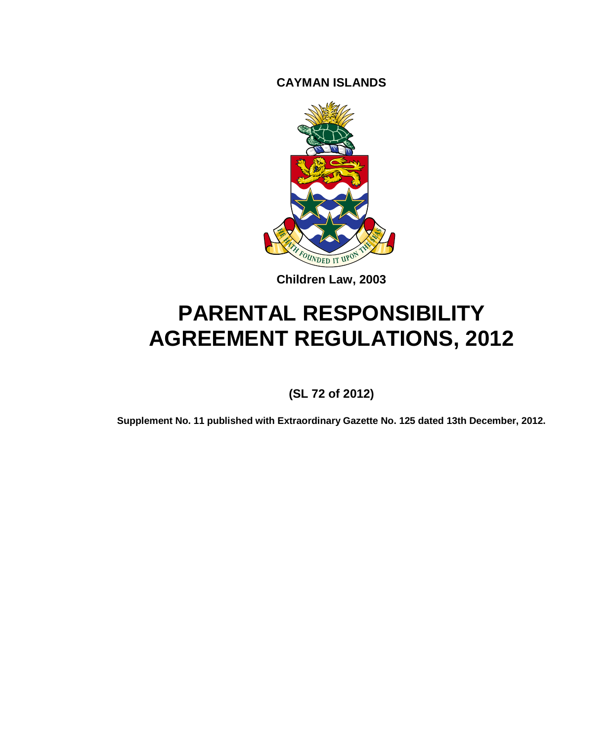**CAYMAN ISLANDS**



**Children Law, 2003**

# **PARENTAL RESPONSIBILITY AGREEMENT REGULATIONS, 2012**

## **(SL 72 of 2012)**

**Supplement No. 11 published with Extraordinary Gazette No. 125 dated 13th December, 2012.**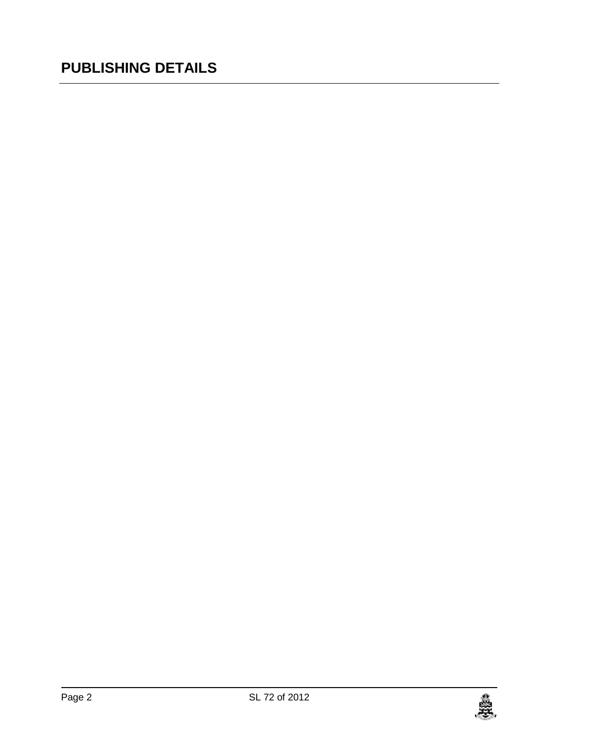## **PUBLISHING DETAILS**

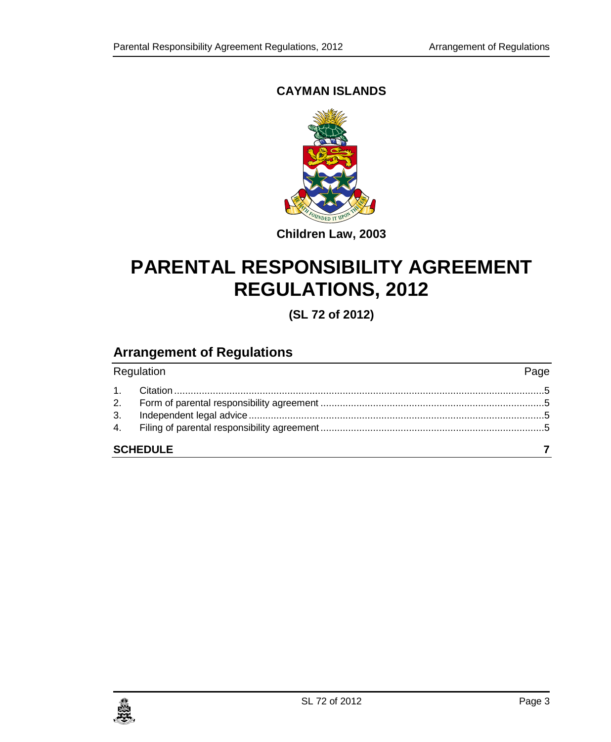## **CAYMAN ISLANDS**



## **Children Law, 2003**

# **PARENTAL RESPONSIBILITY AGREEMENT REGULATIONS, 2012**

**(SL 72 of 2012)**

## **Arrangement of Regulations**

| Regulation      | Page |  |  |
|-----------------|------|--|--|
|                 |      |  |  |
|                 |      |  |  |
|                 |      |  |  |
|                 |      |  |  |
| <b>SCHEDULE</b> |      |  |  |

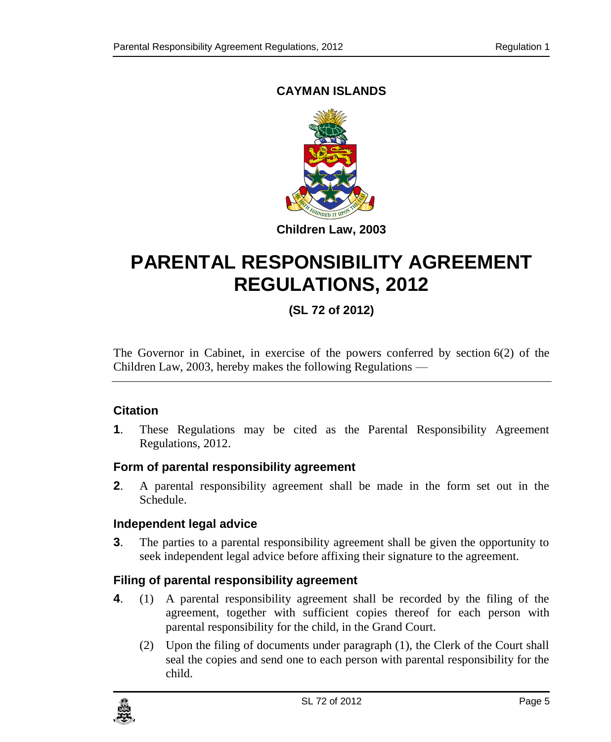## **CAYMAN ISLANDS**



# **PARENTAL RESPONSIBILITY AGREEMENT REGULATIONS, 2012**

## **(SL 72 of 2012)**

The Governor in Cabinet, in exercise of the powers conferred by section 6(2) of the Children Law, 2003, hereby makes the following Regulations —

## <span id="page-4-0"></span>**1. Citation**

**1**. These Regulations may be cited as the Parental Responsibility Agreement Regulations, 2012.

## <span id="page-4-1"></span>**2. Form of parental responsibility agreement**

**2**. A parental responsibility agreement shall be made in the form set out in the Schedule.

## <span id="page-4-2"></span>**3. Independent legal advice**

**3**. The parties to a parental responsibility agreement shall be given the opportunity to seek independent legal advice before affixing their signature to the agreement.

## <span id="page-4-3"></span>**4. Filing of parental responsibility agreement**

- **4**. (1) A parental responsibility agreement shall be recorded by the filing of the agreement, together with sufficient copies thereof for each person with parental responsibility for the child, in the Grand Court.
	- (2) Upon the filing of documents under paragraph (1), the Clerk of the Court shall seal the copies and send one to each person with parental responsibility for the child.

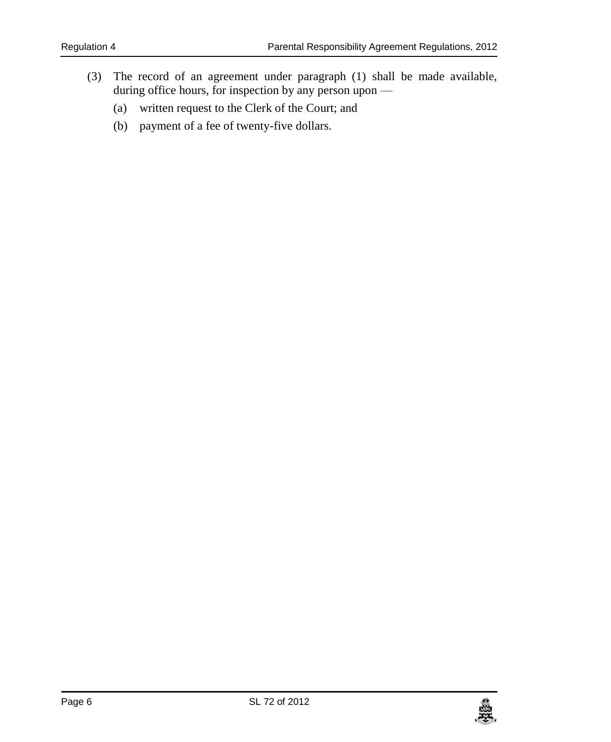- (3) The record of an agreement under paragraph (1) shall be made available, during office hours, for inspection by any person upon —
	- (a) written request to the Clerk of the Court; and
	- (b) payment of a fee of twenty-five dollars.

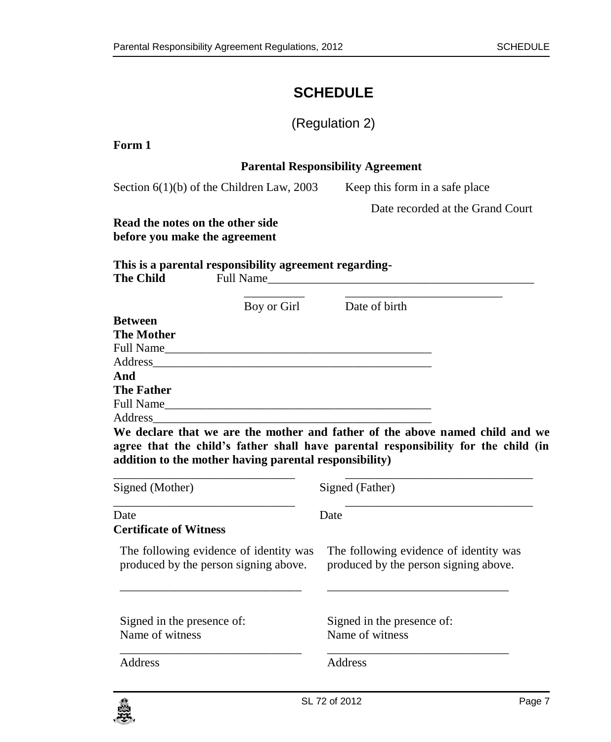## <span id="page-6-0"></span>**SCHEDULE**

## (Regulation 2)

| Form 1                                                                                  |                                                                                                                                                                    |  |  |
|-----------------------------------------------------------------------------------------|--------------------------------------------------------------------------------------------------------------------------------------------------------------------|--|--|
|                                                                                         | <b>Parental Responsibility Agreement</b>                                                                                                                           |  |  |
| Section $6(1)(b)$ of the Children Law, 2003                                             | Keep this form in a safe place                                                                                                                                     |  |  |
|                                                                                         | Date recorded at the Grand Court                                                                                                                                   |  |  |
| Read the notes on the other side<br>before you make the agreement                       |                                                                                                                                                                    |  |  |
| This is a parental responsibility agreement regarding-<br><b>The Child</b><br>Full Name |                                                                                                                                                                    |  |  |
| Boy or Girl                                                                             | Date of birth                                                                                                                                                      |  |  |
| <b>Between</b>                                                                          |                                                                                                                                                                    |  |  |
| <b>The Mother</b>                                                                       |                                                                                                                                                                    |  |  |
|                                                                                         |                                                                                                                                                                    |  |  |
|                                                                                         |                                                                                                                                                                    |  |  |
| And                                                                                     |                                                                                                                                                                    |  |  |
| <b>The Father</b>                                                                       |                                                                                                                                                                    |  |  |
| Full Name<br>Address                                                                    |                                                                                                                                                                    |  |  |
| addition to the mother having parental responsibility)                                  | We declare that we are the mother and father of the above named child and we<br>agree that the child's father shall have parental responsibility for the child (in |  |  |
| Signed (Mother)                                                                         | Signed (Father)                                                                                                                                                    |  |  |
| Date                                                                                    | Date                                                                                                                                                               |  |  |
| <b>Certificate of Witness</b>                                                           |                                                                                                                                                                    |  |  |
| The following evidence of identity was<br>produced by the person signing above.         | The following evidence of identity was<br>produced by the person signing above.                                                                                    |  |  |
| Signed in the presence of:                                                              | Signed in the presence of:                                                                                                                                         |  |  |
| Name of witness                                                                         | Name of witness                                                                                                                                                    |  |  |
| Address                                                                                 | Address                                                                                                                                                            |  |  |

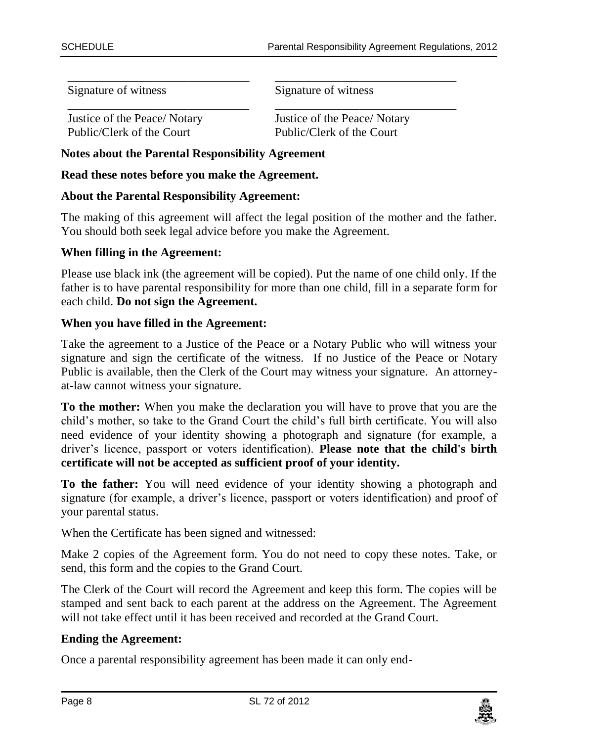Signature of witness

Signature of witness

Justice of the Peace/ Notary Public/Clerk of the Court

\_\_\_\_\_\_\_\_\_\_\_\_\_\_\_\_\_\_\_\_\_\_\_\_\_\_\_\_\_\_

Justice of the Peace/ Notary Public/Clerk of the Court

\_\_\_\_\_\_\_\_\_\_\_\_\_\_\_\_\_\_\_\_\_\_\_\_\_\_\_\_\_\_

**Notes about the Parental Responsibility Agreement**

**Read these notes before you make the Agreement.**

#### **About the Parental Responsibility Agreement:**

The making of this agreement will affect the legal position of the mother and the father. You should both seek legal advice before you make the Agreement.

\_\_\_\_\_\_\_\_\_\_\_\_\_\_\_\_\_\_\_\_\_\_\_\_\_\_\_\_\_\_ \_\_\_\_\_\_\_\_\_\_\_\_\_\_\_\_\_\_\_\_\_\_\_\_\_\_\_\_\_\_

#### **When filling in the Agreement:**

Please use black ink (the agreement will be copied). Put the name of one child only. If the father is to have parental responsibility for more than one child, fill in a separate form for each child. **Do not sign the Agreement.**

#### **When you have filled in the Agreement:**

Take the agreement to a Justice of the Peace or a Notary Public who will witness your signature and sign the certificate of the witness. If no Justice of the Peace or Notary Public is available, then the Clerk of the Court may witness your signature. An attorneyat-law cannot witness your signature.

**To the mother:** When you make the declaration you will have to prove that you are the child's mother, so take to the Grand Court the child's full birth certificate. You will also need evidence of your identity showing a photograph and signature (for example, a driver's licence, passport or voters identification). **Please note that the child's birth certificate will not be accepted as sufficient proof of your identity.**

**To the father:** You will need evidence of your identity showing a photograph and signature (for example, a driver's licence, passport or voters identification) and proof of your parental status.

When the Certificate has been signed and witnessed:

Make 2 copies of the Agreement form. You do not need to copy these notes. Take, or send, this form and the copies to the Grand Court.

The Clerk of the Court will record the Agreement and keep this form. The copies will be stamped and sent back to each parent at the address on the Agreement. The Agreement will not take effect until it has been received and recorded at the Grand Court.

#### **Ending the Agreement:**

Once a parental responsibility agreement has been made it can only end-

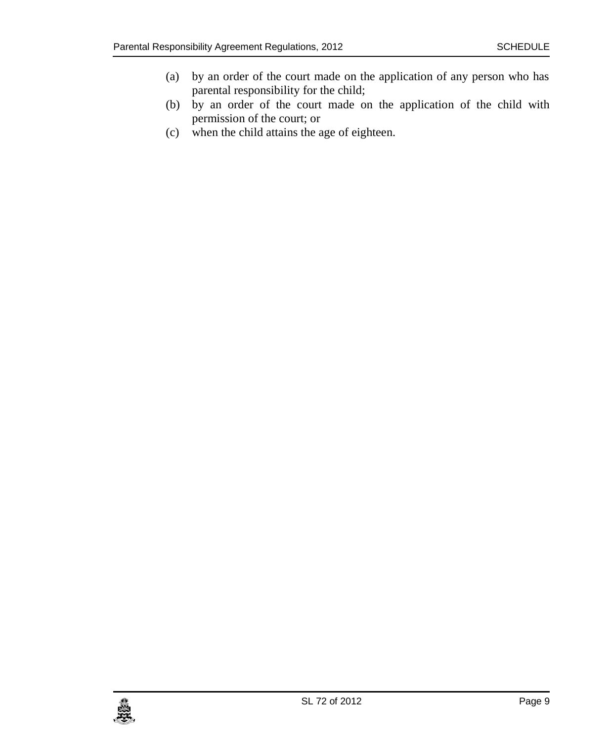- (a) by an order of the court made on the application of any person who has parental responsibility for the child;
- (b) by an order of the court made on the application of the child with permission of the court; or
- (c) when the child attains the age of eighteen.

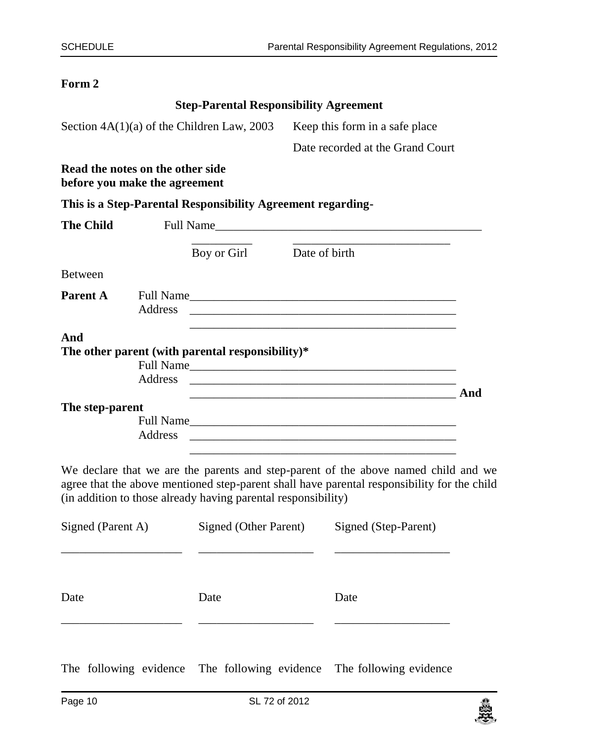#### **Form 2**

|                  |                                                                   | <b>Step-Parental Responsibility Agreement</b>                                                                                                                                                                                 |                                |                                                                                                                                                                                   |     |
|------------------|-------------------------------------------------------------------|-------------------------------------------------------------------------------------------------------------------------------------------------------------------------------------------------------------------------------|--------------------------------|-----------------------------------------------------------------------------------------------------------------------------------------------------------------------------------|-----|
|                  |                                                                   | Section $4A(1)(a)$ of the Children Law, 2003                                                                                                                                                                                  | Keep this form in a safe place |                                                                                                                                                                                   |     |
|                  |                                                                   |                                                                                                                                                                                                                               |                                | Date recorded at the Grand Court                                                                                                                                                  |     |
|                  | Read the notes on the other side<br>before you make the agreement |                                                                                                                                                                                                                               |                                |                                                                                                                                                                                   |     |
|                  |                                                                   | This is a Step-Parental Responsibility Agreement regarding-                                                                                                                                                                   |                                |                                                                                                                                                                                   |     |
| <b>The Child</b> |                                                                   | Full Name and the state of the state of the state of the state of the state of the state of the state of the state of the state of the state of the state of the state of the state of the state of the state of the state of |                                |                                                                                                                                                                                   |     |
|                  |                                                                   | Boy or Girl                                                                                                                                                                                                                   | Date of birth                  |                                                                                                                                                                                   |     |
| <b>Between</b>   |                                                                   |                                                                                                                                                                                                                               |                                |                                                                                                                                                                                   |     |
| Parent A         | Address                                                           |                                                                                                                                                                                                                               |                                |                                                                                                                                                                                   |     |
| And              | Address                                                           | The other parent (with parental responsibility)*                                                                                                                                                                              |                                | Full Name                                                                                                                                                                         | And |
| The step-parent  | Address                                                           |                                                                                                                                                                                                                               |                                |                                                                                                                                                                                   |     |
|                  |                                                                   | (in addition to those already having parental responsibility)                                                                                                                                                                 |                                | We declare that we are the parents and step-parent of the above named child and we<br>agree that the above mentioned step-parent shall have parental responsibility for the child |     |
|                  | Signed (Parent A)                                                 |                                                                                                                                                                                                                               |                                | Signed (Other Parent) Signed (Step-Parent)                                                                                                                                        |     |
| Date             |                                                                   | Date                                                                                                                                                                                                                          |                                | Date                                                                                                                                                                              |     |
|                  |                                                                   |                                                                                                                                                                                                                               |                                |                                                                                                                                                                                   |     |

The following evidence The following evidence The following evidence

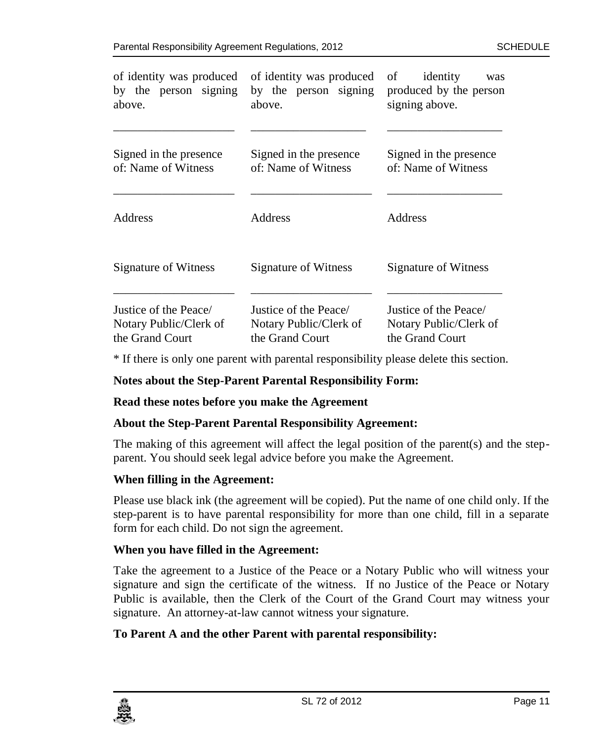| of identity was produced<br>by the person signing<br>above.        | of identity was produced<br>by the person signing<br>above.        | identity<br>of<br>was<br>produced by the person<br>signing above.  |
|--------------------------------------------------------------------|--------------------------------------------------------------------|--------------------------------------------------------------------|
| Signed in the presence<br>of: Name of Witness                      | Signed in the presence<br>of: Name of Witness                      | Signed in the presence<br>of: Name of Witness                      |
| Address                                                            | Address                                                            | Address                                                            |
| Signature of Witness                                               | Signature of Witness                                               | Signature of Witness                                               |
| Justice of the Peace/<br>Notary Public/Clerk of<br>the Grand Court | Justice of the Peace/<br>Notary Public/Clerk of<br>the Grand Court | Justice of the Peace/<br>Notary Public/Clerk of<br>the Grand Court |

\* If there is only one parent with parental responsibility please delete this section.

#### **Notes about the Step-Parent Parental Responsibility Form:**

#### **Read these notes before you make the Agreement**

#### **About the Step-Parent Parental Responsibility Agreement:**

The making of this agreement will affect the legal position of the parent(s) and the stepparent. You should seek legal advice before you make the Agreement.

#### **When filling in the Agreement:**

Please use black ink (the agreement will be copied). Put the name of one child only. If the step-parent is to have parental responsibility for more than one child, fill in a separate form for each child. Do not sign the agreement.

#### **When you have filled in the Agreement:**

Take the agreement to a Justice of the Peace or a Notary Public who will witness your signature and sign the certificate of the witness. If no Justice of the Peace or Notary Public is available, then the Clerk of the Court of the Grand Court may witness your signature. An attorney-at-law cannot witness your signature.

#### **To Parent A and the other Parent with parental responsibility:**

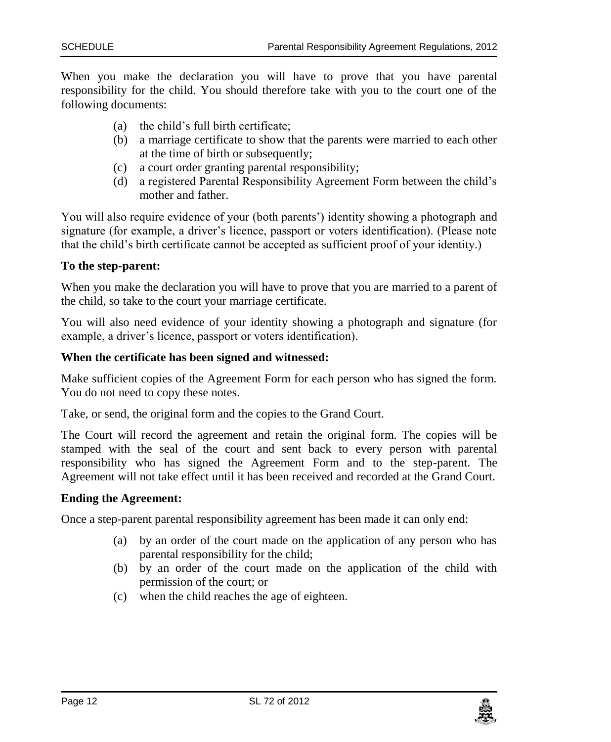When you make the declaration you will have to prove that you have parental responsibility for the child. You should therefore take with you to the court one of the following documents:

- (a) the child's full birth certificate;
- (b) a marriage certificate to show that the parents were married to each other at the time of birth or subsequently;
- (c) a court order granting parental responsibility;
- (d) a registered Parental Responsibility Agreement Form between the child's mother and father.

You will also require evidence of your (both parents') identity showing a photograph and signature (for example, a driver's licence, passport or voters identification). (Please note that the child's birth certificate cannot be accepted as sufficient proof of your identity.)

#### **To the step-parent:**

When you make the declaration you will have to prove that you are married to a parent of the child, so take to the court your marriage certificate.

You will also need evidence of your identity showing a photograph and signature (for example, a driver's licence, passport or voters identification).

#### **When the certificate has been signed and witnessed:**

Make sufficient copies of the Agreement Form for each person who has signed the form. You do not need to copy these notes.

Take, or send, the original form and the copies to the Grand Court.

The Court will record the agreement and retain the original form. The copies will be stamped with the seal of the court and sent back to every person with parental responsibility who has signed the Agreement Form and to the step-parent. The Agreement will not take effect until it has been received and recorded at the Grand Court.

#### **Ending the Agreement:**

Once a step-parent parental responsibility agreement has been made it can only end:

- (a) by an order of the court made on the application of any person who has parental responsibility for the child;
- (b) by an order of the court made on the application of the child with permission of the court; or
- (c) when the child reaches the age of eighteen.